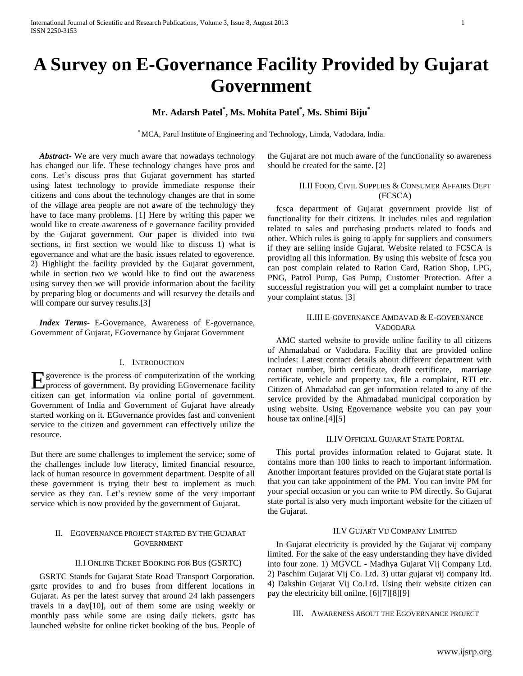# **A Survey on E-Governance Facility Provided by Gujarat Government**

# **Mr. Adarsh Patel\* , Ms. Mohita Patel\* , Ms. Shimi Biju\***

\* MCA, Parul Institute of Engineering and Technology, Limda, Vadodara, India.

 *Abstract***-** We are very much aware that nowadays technology has changed our life. These technology changes have pros and cons. Let's discuss pros that Gujarat government has started using latest technology to provide immediate response their citizens and cons about the technology changes are that in some of the village area people are not aware of the technology they have to face many problems. [1] Here by writing this paper we would like to create awareness of e governance facility provided by the Gujarat government. Our paper is divided into two sections, in first section we would like to discuss 1) what is egovernance and what are the basic issues related to egoverence. 2) Highlight the facility provided by the Gujarat government, while in section two we would like to find out the awareness using survey then we will provide information about the facility by preparing blog or documents and will resurvey the details and will compare our survey results.[3]

 *Index Terms*- E-Governance, Awareness of E-governance, Government of Gujarat, EGovernance by Gujarat Government

### I. INTRODUCTION

goverence is the process of computerization of the working Exporess of government. By providing EGovernance facility citizen can get information via online portal of government. Government of India and Government of Gujarat have already started working on it. EGovernance provides fast and convenient service to the citizen and government can effectively utilize the resource.

But there are some challenges to implement the service; some of the challenges include low literacy, limited financial resource, lack of human resource in government department. Despite of all these government is trying their best to implement as much service as they can. Let's review some of the very important service which is now provided by the government of Gujarat.

#### II. EGOVERNANCE PROJECT STARTED BY THE GUJARAT GOVERNMENT

#### II.I ONLINE TICKET BOOKING FOR BUS (GSRTC)

 GSRTC Stands for Gujarat State Road Transport Corporation. gsrtc provides to and fro buses from different locations in Gujarat. As per the latest survey that around 24 lakh passengers travels in a day[10], out of them some are using weekly or monthly pass while some are using daily tickets. gsrtc has launched website for online ticket booking of the bus. People of the Gujarat are not much aware of the functionality so awareness should be created for the same. [2]

## II.II FOOD, CIVIL SUPPLIES & CONSUMER AFFAIRS DEPT (FCSCA)

 fcsca department of Gujarat government provide list of functionality for their citizens. It includes rules and regulation related to sales and purchasing products related to foods and other. Which rules is going to apply for suppliers and consumers if they are selling inside Gujarat. Website related to FCSCA is providing all this information. By using this website of fcsca you can post complain related to Ration Card, Ration Shop, LPG, PNG, Patrol Pump, Gas Pump, Customer Protection. After a successful registration you will get a complaint number to trace your complaint status. [3]

# II.III E-GOVERNANCE AMDAVAD & E-GOVERNANCE VADODARA

 AMC started website to provide online facility to all citizens of Ahmadabad or Vadodara. Facility that are provided online includes: Latest contact details about different department with contact number, birth certificate, death certificate, marriage certificate, vehicle and property tax, file a complaint, RTI etc. Citizen of Ahmadabad can get information related to any of the service provided by the Ahmadabad municipal corporation by using website. Using Egovernance website you can pay your house tax online.<sup>[4][5]</sup>

#### II.IV OFFICIAL GUJARAT STATE PORTAL

 This portal provides information related to Gujarat state. It contains more than 100 links to reach to important information. Another important features provided on the Gujarat state portal is that you can take appointment of the PM. You can invite PM for your special occasion or you can write to PM directly. So Gujarat state portal is also very much important website for the citizen of the Gujarat.

#### II.V GUJART VIJ COMPANY LIMITED

 In Gujarat electricity is provided by the Gujarat vij company limited. For the sake of the easy understanding they have divided into four zone. 1) MGVCL - Madhya Gujarat Vij Company Ltd. 2) Paschim Gujarat Vij Co. Ltd. 3) uttar gujarat vij company ltd. 4) Dakshin Gujarat Vij Co.Ltd. Using their website citizen can pay the electricity bill onilne. [6][7][8][9]

#### III. AWARENESS ABOUT THE EGOVERNANCE PROJECT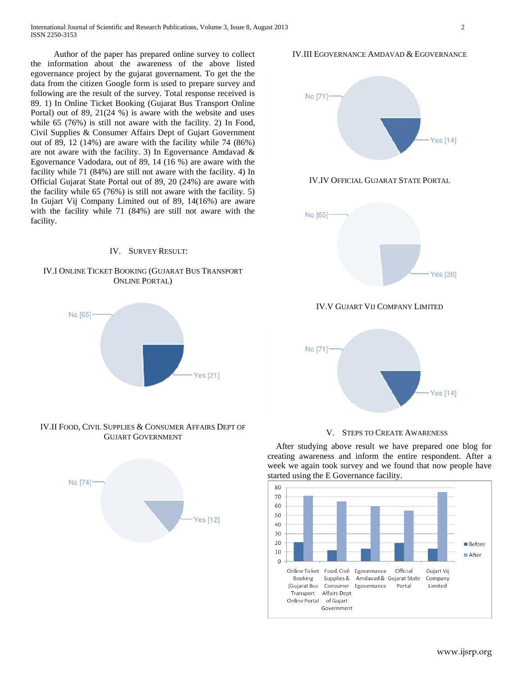Author of the paper has prepared online survey to collect the information about the awareness of the above listed egovernance project by the gujarat governament. To get the the data from the citizen Google form is used to prepare survey and following are the result of the survey. Total response received is 89. 1) In Online Ticket Booking (Gujarat Bus Transport Online Portal) out of 89, 21(24 %) is aware with the website and uses while 65 (76%) is still not aware with the facility. 2) In Food, Civil Supplies & Consumer Affairs Dept of Gujart Government out of 89, 12 (14%) are aware with the facility while 74 (86%) are not aware with the facility. 3) In Egovernance Amdavad  $\&$ Egovernance Vadodara, out of 89, 14 (16 %) are aware with the facility while 71 (84%) are still not aware with the facility. 4) In Official Gujarat State Portal out of 89, 20 (24%) are aware with the facility while 65 (76%) is still not aware with the facility. 5) In Gujart Vij Company Limited out of 89, 14(16%) are aware with the facility while 71 (84%) are still not aware with the facility.

#### IV. SURVEY RESULT:





# IV.II FOOD, CIVIL SUPPLIES & CONSUMER AFFAIRS DEPT OF GUJART GOVERNMENT



# IV.III EGOVERNANCE AMDAVAD & EGOVERNANCE



#### IV.IV OFFICIAL GUJARAT STATE PORTAL



#### IV.V GUJART VIJ COMPANY LIMITED



## V. STEPS TO CREATE AWARENESS

 After studying above result we have prepared one blog for creating awareness and inform the entire respondent. After a week we again took survey and we found that now people have started using the E Governance facility.